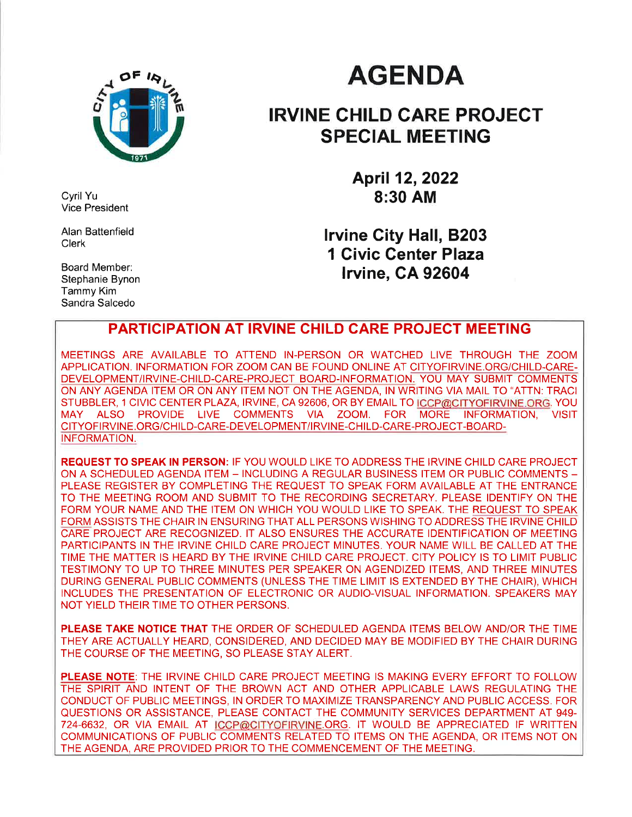

Cyril Yu Vice President

Alan Battenfield Clerk

Board Member: Stephanie Bynon Tammy Kim Sandra Salcedo

# **AGENDA**

### IRVINE CHILD CARE PROJEGT SPECIAL MEETING

April 12,2022 8:30 AM

lrvine City Hall, 8203 1 Civic Genter Plaza lrvine, CA 92604

### PARTICIPATION AT IRVINE CHILD CARE PROJECT MEETING

MEETINGS ARE AVAILABLE TO ATTEND IN-PERSON OR WATCHED LIVE THROUGH THE ZOOM APPLICATION. INFORMATION FOR ZOOM CAN BE FOUND ONLINE AT CITYOFIRVINE.ORG/CHILD-CARE-DEVELOPMENT/IRVINE-CHILD-CARE-PROJECT BOARD-INFORMATION. YOU MAY SUBMIT COMMENTS ON ANY AGENDA ITEM OR ON ANY ITEM NOT ON THE AGENDA, lN WRITING VIA MAIL TO "ATTN: TRACI STUBBLER, 1 CIVIC CENTER PLAZA, IRVINE, CA 92606, OR BY EMAIL TO <u>ICCP@CITYOFIRVINE.ORG</u>. YOU<br>MAY ALSO PROVIDE LIVE COMMENTS VIA ZOOM. FOR MORE INFORMATION, VISIT MAY ALSO PROVIDE LIVE COMMENTS VIA ZOOM. FOR MORE INFORMATION, VISIT CITYOFIRVINE.ORG/CHILD-CARE-DEVELOPMENT/IRVINE-CHILD-CARE-PROJECT-BOARD-INFORMATION.

REQUEST TO SPEAK lN PERSON: lF YOU WOULD LIKE TO ADDRESS THE IRVINE CHILD CARE PROJECT ON A SCHEDULED AGENDA ITEM - INCLUDING A REGULAR BUSINESS ITEM OR PUBLIC COMMENTS - PLEASE REGISTER BY COMPLETING THE REQUEST TO SPEAK FORM AVAILABLE AT THE ENTRANCE TO THE MEETING ROOM AND SUBMIT TO THE RECORDING SECRETARY. PLEASE IDENTIFY ON THE FORM YOUR NAME AND THE ITEM ON WHICH YOU WOULD LIKE TO SPEAK. THE REQUEST TO SPEAK FORM ASSISTS THE CHAIR IN ENSURING THAT ALL PERSONS WISHING TO ADDRESS THE IRVINE CHILD CARE PROJECT ARE RECOGNIZED. IT ALSO ENSURES THE ACCURATE IDENTIFICATION OF MEETING PARTICIPANTS IN THE IRVINE CHILD CARE PROJECT MINUTES. YOUR NAME WILL BE CALLED AT THE TIME THE MATTER IS HEARD BY THE IRVINE CHILD CARE PROJECT. CITY POLICY IS TO LIMIT PUBLIC TESTIMONY TO UP TO THREE MINUTES PER SPEAKER ON AGENDIZED ITEMS, AND THREE MINUTES DURING GENERAL PUBLIC COMMENTS (UNLESS THE TIME LIMIT IS EXTENDED BY THE CHAIR), WHICH INCLUDES THE PRESENTATION OF ELECTRONIC OR AUDIO-VISUAL INFORMATION. SPEAKERS MAY NOT YIELD THEIR TIME TO OTHER PERSONS.

PLEASE TAKE NOTICE THAT THE ORDER OF SCHEDULED AGENDA ITEMS BELOW AND/OR THE TIME THEY ARE ACTUALLY HEARD, CONSIDERED, AND DECIDED MAY BE MODIFIED BY THE CHAIR DURING THE COURSE OF THE MEETING, SO PLEASE STAY ALERT.

PLEASE NOTE: THE IRVINE CHILD CARE PROJECT MEETING IS MAKING EVERY EFFORT TO FOLLOW THE SPIRIT AND INTENT OF THE BROWN ACT AND OTHER APPLICABLE LAWS REGULATING THE CONDUCT OF PUBLIC MEETINGS, IN ORDER TO MAXIMIZE TRANSPARENCY AND PUBLIC ACCESS. FOR QUESTIONS OR ASSISTANCE, PLEASE CONTACT THE COMMUNITY SERVICES DEPARTMENT AT 949- 724-6632, OR VIA EMAIL AT ICCP@CITYOFIRVINE.ORG. IT WOULD BE APPRECIATED IF WRITTEN COMMUNICATIONS OF PUBLIC COMMENTS RELATED TO ITEMS ON THE AGENDA, OR ITEMS NOT ON THE AGENDA, ARE PROVIDED PRIOR TO THE COMMENCEMENT OF THE MEETING.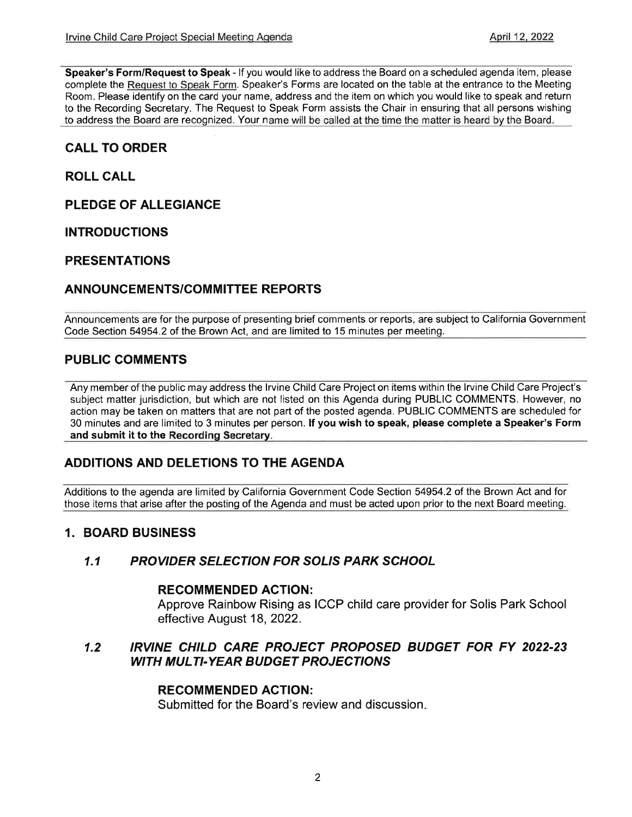Speaker's Form/Request to Speak - lf you would like to address the Board on a scheduled agenda item, please complete the Request to Speak Form. Speaker's Forms are located on the table at the entrance to the Meeting Room. Please identify on the card your name, address and the item on which you would like to speak and return to the Recording Secretary. The Request to Speak Form assists the Chair in ensuring that all persons wishing to address the Board are recognized. Your name will be called at the time the matter is heard by the Board.

### CALL TO ORDER

ROLL CALL

PLEDGE OF ALLEGIANCE

INTRODUCTIONS

#### PRESENTATIONS

### ANNOUNCEMENTS/COMMITTEE REPORTS

Announcements are for the purpose of presenting brief comments or reports, are subject to California Government Code Section 54954.2 of the Brown Act, and are limited to 15 minutes per meetinq.

### PUBLIC COMMENTS

Any member of the public may address the lrvine Child Care Project on items within the lrvine Child Care Project's subject matter jurisdiction, but which are not listed on this Agenda during PUBLIC COMMENTS. However, no action may be taken on matters that are not part of the posted agenda. PUBLIC COMMENTS are scheduled for 30 minutes and are limited to 3 minutes per person. If you wish to speak, please complete a Speaker's Form and submit it to the Recording Secretary.

### ADDITIONS AND DELETIONS TO THE AGENDA

Additions to the agenda are limited by California Government Code Section 54954.2 of the Brown Act and for those items that arise after the posting of the Agenda and must be acted upon prior to the next Board meeting.

#### 1. BOARD BUSINESS

#### 1.1 PROVIDER SELECTION FOR SOLIS PARK SCHOOL

#### RECOMMENDED AGTION:

Approve Rainbow Rising as ICCP child care provider for Solis Park School effective August 18, 2022.

#### 1.2 IRVINE CHILD CARE PROJECT PROPOSED BUDGET FOR FY 2022-23 WITH MULTI-YEAR BUDGET PROJECTIONS

#### RECOMMENDED AGTION:

Submitted for the Board's review and discussion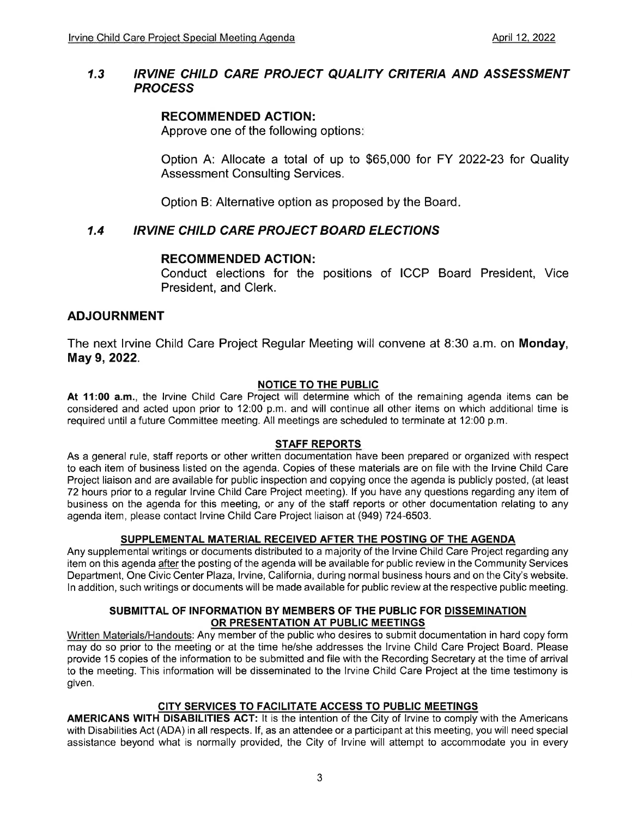#### IRVINE CHILD CARE PROJECT QUALITY CRITERIA AND ASSESSMENT **PROCESS** 1.3

#### RECOMMENDED ACTION:

Approve one of the following options

Option A: Allocate a total of up to \$65,000 for FY 2022-23 for Quality Assessment Consulting Services.

Option B: Alternative option as proposed by the Board

#### 1.4 IRVINE CHILD CARE PROJECT BOARD ELECTIONS

#### RECOMMENDED AGTION:

Conduct elections for the positions of ICCP Board President, Vice President, and Clerk.

#### ADJOURNMENT

The next lrvine Child Care Project Regular Meeting will convene at 8:30 a.m. on Monday, May 9, 2022.

#### NOTICE TO THE PUBLIC

At 11:00 a.m., the lrvine Child Care Project will determine which of the remaining agenda items can be considered and acted upon prior to 12:00 p.m. and will continue all other items on which additional time is required until a future Committee meeting. All meetings are scheduled to terminate at 12:00 p.m.

#### STAFF REPORTS

As a general rule, staff reports or other written documentation have been prepared or organized with respect to each item of business listed on the agenda. Copies of these materials are on file with the lrvine Child Care Project liaison and are available for public inspection and copying once the agenda is publicly posted, (at least 72 hours prior to a regular lrvine Child Care Project meeting). lf you have any questions regarding any item of business on the agenda for this meeting, or any of the staff reports or other documentation relating to any agenda item, please contact lrvine Child Care Project liaison at (949) 724-6503.

#### SUPPLEMENTAL MATERIAL RECEIVED AFTER THE POSTING OF THE AGENDA

Any supplemental writings or documents distributed to a majority of the lrvine Child Care Project regarding any item on this agenda after the posting of the agenda will be available for public review in the Community Services Department, One Civic Center Plaza, Irvine, California, during normal business hours and on the City's website. ln addition, such writings or documents will be made available for public review at the respective public meeting.

#### SUBMITTAL OF INFORMATION BY MEMBERS OF THE PUBLIC FOR DISSEMINATION OR PRESENTATION AT PUBLIC MEETINGS

Written Materials/Handouts: Any member of the public who desires to submit documentation in hard copy form may do so prior to the meeting or at the time he/she addresses the lrvine Child Care Project Board. Please provide 15 copies of the information to be submitted and file with the Recording Secretary at the time of arrival to the meeting. This information will be disseminated to the lrvine Child Care Project at the time testimony is given.

#### CITY SERVICES TO FACILITATE ACCESS TO PUBLIC MEETINGS

AMERICANS WITH DISABILITIES ACT: lt is the intention of the City of lrvine to comply with the Americans with Disabilities Act (ADA) in all respects. lf, as an attendee or a participant at this meeting, you will need special assistance beyond what is normally provided, the City of lrvine will attempt to accommodate you in every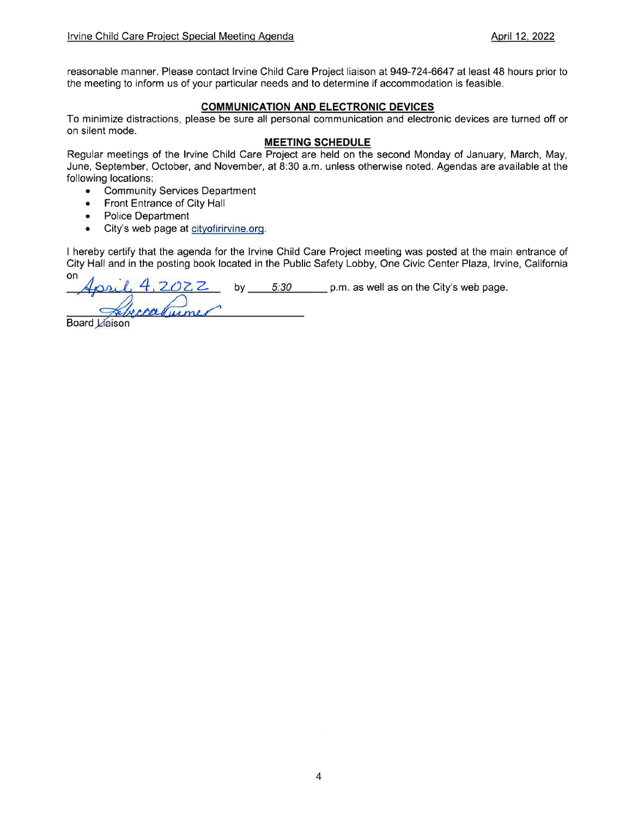reasonable manner. Please contact Irvine Child Care Project liaison at 949-724-6647 at least 48 hours prior to the meeting to inform us of your particular needs and to determine if accommodation is feasible.

#### COMMUNICATION AND ELECTRONIC DEVICES

To minimize distractions, please be sure all personal communication and electronic devices are turned off or on silent mode.

#### MEETING SCHEDULE

Regular meetings of the lrvine Child Care Project are held on the second Monday of January, March, May, June, September, October, and November, at B:30 a.m. unless otherwise noted. Agendas are available at the following locations:

- . Community Services Department
- . Front Entrance of City Hall
- . Police Department
- City's web page at cityofirirvine.org.

I hereby certify that the agenda for the lrvine Child Care Project meeting was posted at the main entrance of City Hall and in the posting book located in the Public Safety Lobby, One Civic Center Plaza, Irvine, California

on Z by 5:30 p.m. as well as on the City's web page.  $\mu m$ 

**Board Liaison**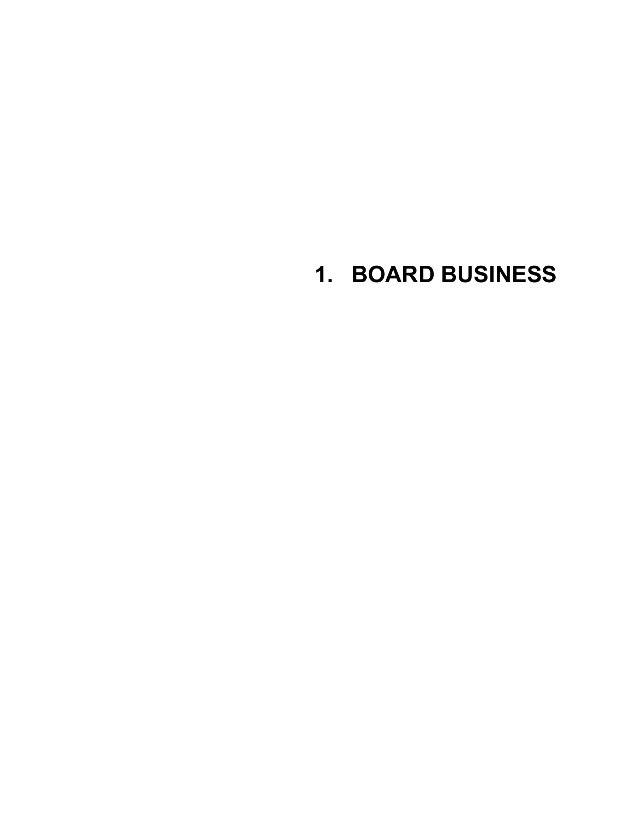## **1. BOARD BUSINESS**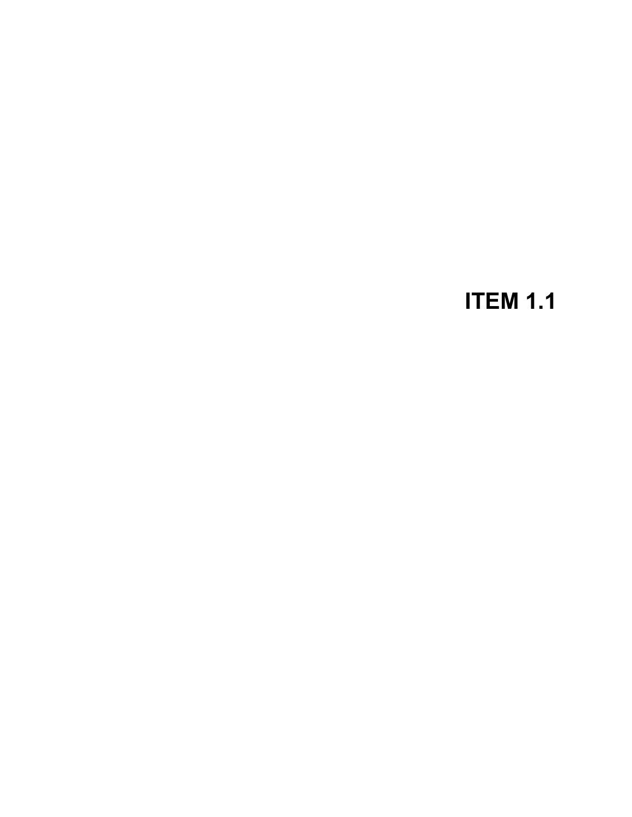## **ITEM 1.1**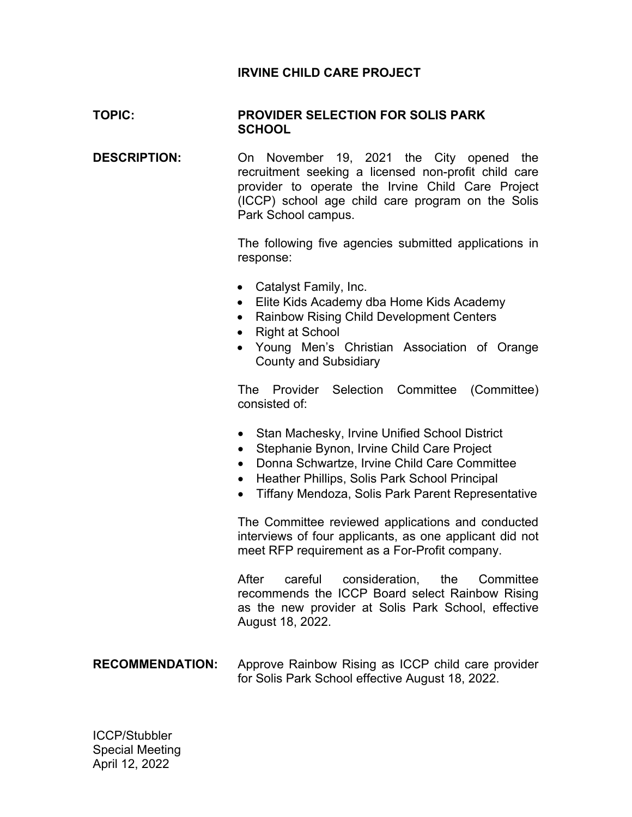### **IRVINE CHILD CARE PROJECT**

#### **TOPIC: PROVIDER SELECTION FOR SOLIS PARK SCHOOL**

**DESCRIPTION:** On November 19, 2021 the City opened the recruitment seeking a licensed non-profit child care provider to operate the Irvine Child Care Project (ICCP) school age child care program on the Solis Park School campus.

> The following five agencies submitted applications in response:

- Catalyst Family, Inc.
- Elite Kids Academy dba Home Kids Academy
- Rainbow Rising Child Development Centers
- Right at School
- Young Men's Christian Association of Orange County and Subsidiary

The Provider Selection Committee (Committee) consisted of:

- Stan Machesky, Irvine Unified School District
- Stephanie Bynon, Irvine Child Care Project
- Donna Schwartze, Irvine Child Care Committee
- Heather Phillips, Solis Park School Principal
- Tiffany Mendoza, Solis Park Parent Representative

The Committee reviewed applications and conducted interviews of four applicants, as one applicant did not meet RFP requirement as a For-Profit company.

After careful consideration, the Committee recommends the ICCP Board select Rainbow Rising as the new provider at Solis Park School, effective August 18, 2022.

#### **RECOMMENDATION:** Approve Rainbow Rising as ICCP child care provider for Solis Park School effective August 18, 2022.

ICCP/Stubbler Special Meeting April 12, 2022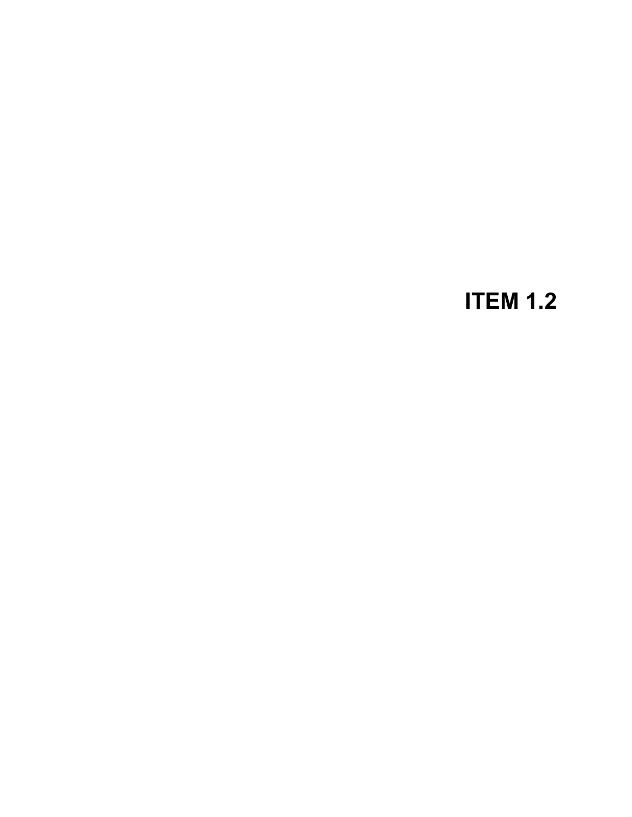## **ITEM 1.2**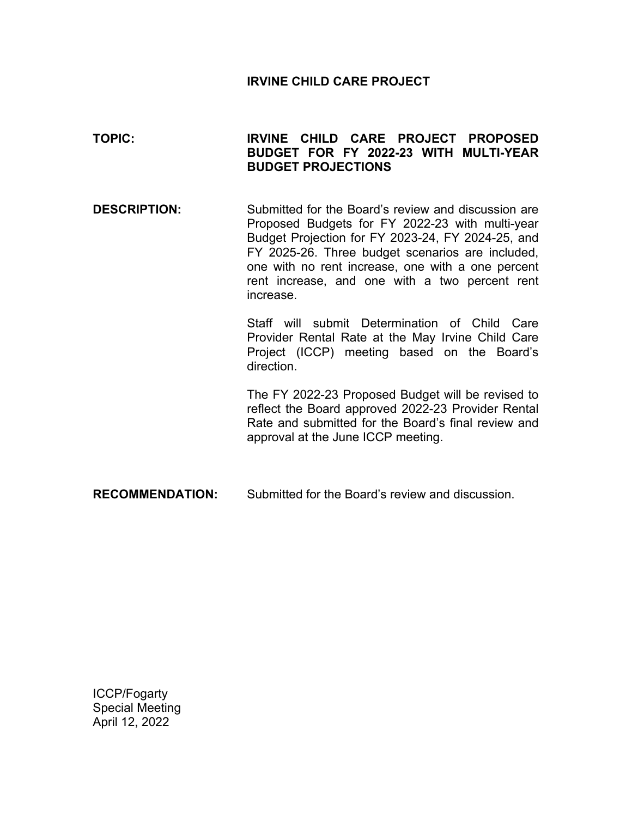#### **IRVINE CHILD CARE PROJECT**

### **TOPIC: IRVINE CHILD CARE PROJECT PROPOSED BUDGET FOR FY 2022-23 WITH MULTI-YEAR BUDGET PROJECTIONS**

**DESCRIPTION:** Submitted for the Board's review and discussion are Proposed Budgets for FY 2022-23 with multi-year Budget Projection for FY 2023-24, FY 2024-25, and FY 2025-26. Three budget scenarios are included, one with no rent increase, one with a one percent rent increase, and one with a two percent rent increase.

> Staff will submit Determination of Child Care Provider Rental Rate at the May Irvine Child Care Project (ICCP) meeting based on the Board's direction.

> The FY 2022-23 Proposed Budget will be revised to reflect the Board approved 2022-23 Provider Rental Rate and submitted for the Board's final review and approval at the June ICCP meeting.

**RECOMMENDATION:** Submitted for the Board's review and discussion.

ICCP/Fogarty Special Meeting April 12, 2022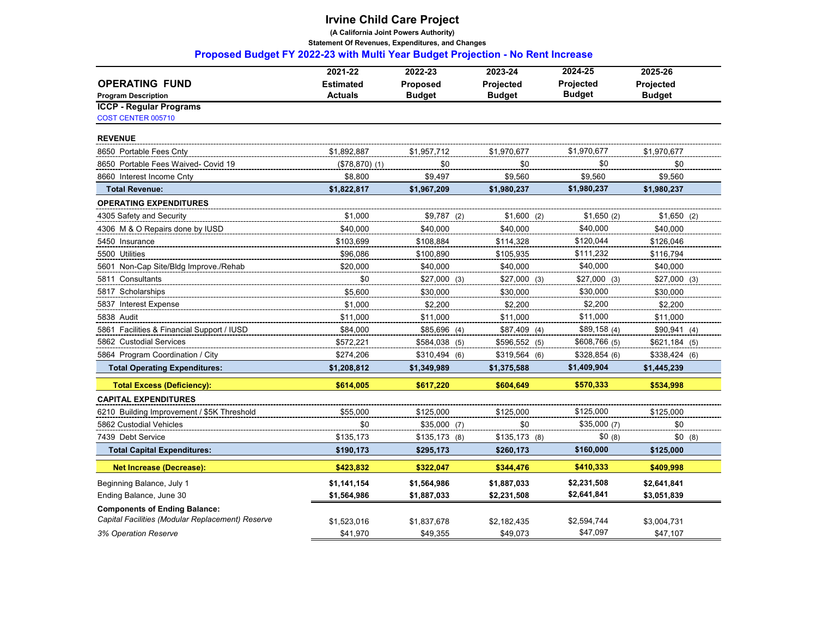**(A California Joint Powers Authority)**

 **Statement Of Revenues, Expenditures, and Changes** 

 **Proposed Budget FY 2022-23 with Multi Year Budget Projection - No Rent Increase**

|                                                  | 2021-22          | 2022-23         | 2023-24          | 2024-25          | 2025-26        |
|--------------------------------------------------|------------------|-----------------|------------------|------------------|----------------|
| <b>OPERATING FUND</b>                            | <b>Estimated</b> | <b>Proposed</b> | <b>Projected</b> | <b>Projected</b> | Projected      |
| <b>Program Description</b>                       | <b>Actuals</b>   | <b>Budget</b>   | <b>Budget</b>    | <b>Budget</b>    | <b>Budget</b>  |
| <b>ICCP - Regular Programs</b>                   |                  |                 |                  |                  |                |
| COST CENTER 005710                               |                  |                 |                  |                  |                |
| <b>REVENUE</b>                                   |                  |                 |                  |                  |                |
| 8650 Portable Fees Cnty                          | \$1,892,887      | \$1,957,712     | \$1,970,677      | \$1,970,677      | \$1,970,677    |
| 8650 Portable Fees Waived- Covid 19              | $($78,870)$ (1)  | \$0             | \$0              | \$0              | \$0            |
| 8660 Interest Income Cnty                        | \$8,800          | \$9,497         | \$9,560          | \$9,560          | \$9,560        |
| <b>Total Revenue:</b>                            | \$1,822,817      | \$1,967,209     | \$1,980,237      | \$1,980,237      | \$1,980,237    |
| <b>OPERATING EXPENDITURES</b>                    |                  |                 |                  |                  |                |
| 4305 Safety and Security                         | \$1.000          | $$9,787$ (2)    | $$1,600$ (2)     | \$1,650(2)       | $$1,650$ (2)   |
| 4306 M & O Repairs done by IUSD                  | \$40.000         | \$40.000        | \$40.000         | \$40.000         | \$40.000       |
| 5450 Insurance                                   | \$103,699        | \$108,884       | \$114,328        | \$120,044        | \$126,046      |
| 5500 Utilities                                   | \$96,086         | \$100,890       | \$105,935        | \$111,232        | \$116,794      |
| 5601 Non-Cap Site/Bldg Improve./Rehab            | \$20,000         | \$40,000        | \$40,000         | \$40,000         | \$40,000       |
| 5811 Consultants                                 | \$0              | $$27,000$ (3)   | $$27,000$ (3)    | $$27,000$ (3)    | $$27,000$ (3)  |
| 5817 Scholarships                                | \$5.600          | \$30,000        | \$30,000         | \$30,000         | \$30,000       |
| 5837 Interest Expense                            | \$1,000          | \$2,200         | \$2,200          | \$2,200          | \$2,200        |
| 5838 Audit                                       | \$11,000         | \$11,000        | \$11,000         | \$11,000         | \$11,000       |
| 5861 Facilities & Financial Support / IUSD       | \$84,000         | \$85,696 (4)    | $$87,409$ (4)    | \$89,158(4)      | \$90,941(4)    |
| 5862 Custodial Services                          | \$572.221        | \$584,038 (5)   | \$596,552 (5)    | \$608,766 (5)    | $$621,184$ (5) |
| 5864 Program Coordination / City                 | \$274,206        | $$310,494$ (6)  | \$319,564 (6)    | \$328,854(6)     | $$338,424$ (6) |
| <b>Total Operating Expenditures:</b>             | \$1,208,812      | \$1,349,989     | \$1,375,588      | \$1,409,904      | \$1,445,239    |
| <b>Total Excess (Deficiency):</b>                | \$614,005        | \$617,220       | \$604,649        | \$570,333        | \$534,998      |
| <b>CAPITAL EXPENDITURES</b>                      |                  |                 |                  |                  |                |
| 6210 Building Improvement / \$5K Threshold       | \$55,000         | \$125,000       | \$125,000        | \$125,000        | \$125,000      |
| 5862 Custodial Vehicles                          | \$0              | $$35,000$ (7)   | \$0              | \$35,000 (7)     | \$0            |
| 7439 Debt Service                                | \$135,173        | $$135,173$ (8)  | $$135,173$ (8)   | \$0(8)           | \$0(8)         |
| <b>Total Capital Expenditures:</b>               | \$190,173        | \$295,173       | \$260,173        | \$160,000        | \$125,000      |
| <b>Net Increase (Decrease):</b>                  | \$423,832        | \$322,047       | \$344,476        | \$410,333        | \$409,998      |
| Beginning Balance, July 1                        | \$1,141,154      | \$1,564,986     | \$1,887,033      | \$2,231,508      | \$2,641,841    |
| Ending Balance, June 30                          | \$1,564,986      | \$1,887,033     | \$2,231,508      | \$2,641,841      | \$3,051,839    |
| <b>Components of Ending Balance:</b>             |                  |                 |                  |                  |                |
| Capital Facilities (Modular Replacement) Reserve | \$1,523,016      | \$1,837,678     | \$2,182,435      | \$2,594,744      | \$3,004,731    |
| 3% Operation Reserve                             | \$41.970         | \$49.355        | \$49.073         | \$47,097         | \$47.107       |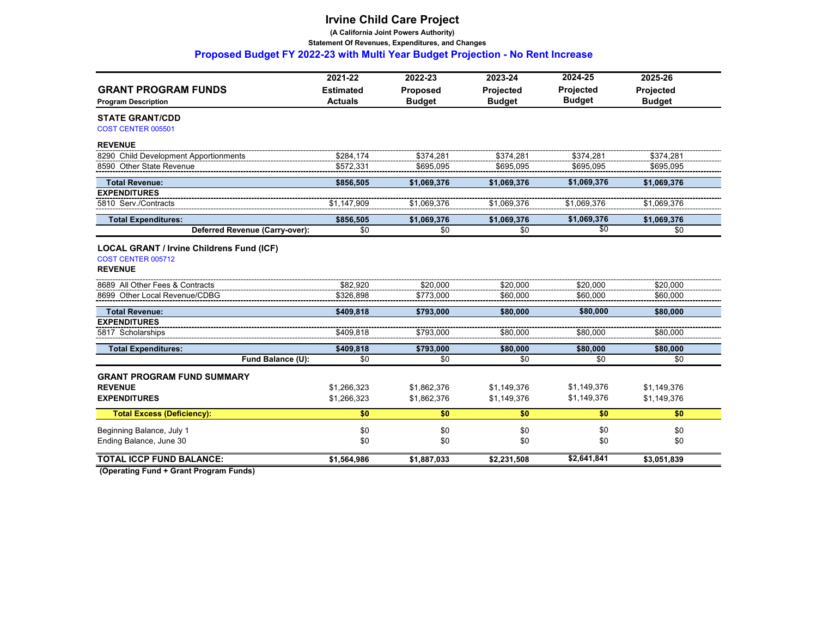**(A California Joint Powers Authority)**

 **Statement Of Revenues, Expenditures, and Changes** 

 **Proposed Budget FY 2022-23 with Multi Year Budget Projection - No Rent Increase**

| <b>GRANT PROGRAM FUNDS</b>                                             | 2021-22<br><b>Estimated</b> | 2022-23<br>Proposed | 2023-24<br>Projected | 2024-25<br><b>Projected</b> | 2025-26<br>Projected |
|------------------------------------------------------------------------|-----------------------------|---------------------|----------------------|-----------------------------|----------------------|
| <b>Program Description</b>                                             | <b>Actuals</b>              | <b>Budget</b>       | <b>Budget</b>        | <b>Budget</b>               | <b>Budget</b>        |
| <b>STATE GRANT/CDD</b><br><b>COST CENTER 005501</b>                    |                             |                     |                      |                             |                      |
| <b>REVENUE</b>                                                         |                             |                     |                      |                             |                      |
| 8290 Child Development Apportionments                                  | \$284.174                   | \$374.281           | \$374.281            | \$374.281                   | \$374.281            |
| 8590 Other State Revenue                                               | \$572,331                   | \$695,095           | \$695,095            | \$695,095                   | \$695,095            |
| <b>Total Revenue:</b>                                                  | \$856,505                   | \$1,069,376         | \$1,069,376          | \$1,069,376                 | \$1,069,376          |
| <b>EXPENDITURES</b>                                                    |                             |                     |                      |                             |                      |
| 5810 Serv./Contracts                                                   | \$1,147,909                 | \$1,069,376         | \$1,069,376          | \$1,069,376                 | \$1,069,376          |
| <b>Total Expenditures:</b>                                             | \$856,505                   | \$1,069,376         | \$1,069,376          | \$1,069,376                 | \$1,069,376          |
| Deferred Revenue (Carry-over):                                         | \$0                         | \$0                 | \$0                  | \$0                         | \$0                  |
| <b>LOCAL GRANT / Irvine Childrens Fund (ICF)</b><br>COST CENTER 005712 |                             |                     |                      |                             |                      |
| <b>REVENUE</b>                                                         |                             |                     |                      |                             |                      |
| 8689 All Other Fees & Contracts                                        | \$82,920                    | \$20,000            | \$20,000             | \$20.000                    | \$20,000             |
| 8699 Other Local Revenue/CDBG                                          | \$326.898                   | \$773.000           | \$60.000             | \$60,000                    | \$60,000             |
| <b>Total Revenue:</b>                                                  | \$409,818                   | \$793,000           | \$80,000             | \$80,000                    | \$80,000             |
| <b>EXPENDITURES</b>                                                    |                             |                     |                      |                             |                      |
| 5817 Scholarships                                                      | \$409,818                   | \$793,000           | \$80,000             | \$80,000                    | \$80,000             |
| <b>Total Expenditures:</b>                                             | \$409,818                   | \$793,000           | \$80,000             | \$80,000                    | \$80,000             |
| Fund Balance (U):                                                      | \$0                         | \$0                 | \$0                  | \$0                         | \$0                  |
| <b>GRANT PROGRAM FUND SUMMARY</b>                                      |                             |                     |                      |                             |                      |
| <b>REVENUE</b>                                                         | \$1,266,323                 | \$1,862,376         | \$1,149,376          | \$1,149,376                 | \$1,149,376          |
| <b>EXPENDITURES</b>                                                    | \$1,266,323                 | \$1,862,376         | \$1,149,376          | \$1,149,376                 | \$1,149,376          |
| <b>Total Excess (Deficiency):</b>                                      | \$0                         | \$0                 | \$0                  | \$0                         | \$0                  |
| Beginning Balance, July 1                                              | \$0                         | \$0                 | \$0                  | \$0                         | \$0                  |
| Ending Balance, June 30                                                | \$0                         | \$0                 | \$0                  | \$0                         | \$0                  |
| <b>TOTAL ICCP FUND BALANCE:</b>                                        | \$1,564,986                 | \$1,887,033         | \$2,231,508          | \$2,641,841                 | \$3,051,839          |
|                                                                        |                             |                     |                      |                             |                      |

 **(Operating Fund + Grant Program Funds)**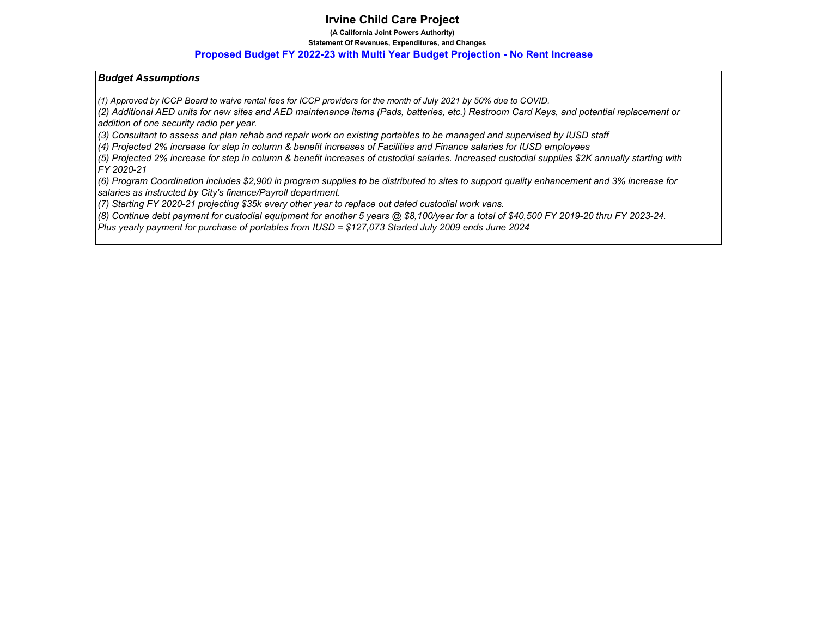**(A California Joint Powers Authority)**

#### **Statement Of Revenues, Expenditures, and Changes**

#### **Proposed Budget FY 2022-23 with Multi Year Budget Projection - No Rent Increase**

#### *Budget Assumptions*

*(1) Approved by ICCP Board to waive rental fees for ICCP providers for the month of July 2021 by 50% due to COVID.*

*(2) Additional AED units for new sites and AED maintenance items (Pads, batteries, etc.) Restroom Card Keys, and potential replacement or addition of one security radio per year.* 

*(3) Consultant to assess and plan rehab and repair work on existing portables to be managed and supervised by IUSD staff*

*(4) Projected 2% increase for step in column & benefit increases of Facilities and Finance salaries for IUSD employees*

*(5) Projected 2% increase for step in column & benefit increases of custodial salaries. Increased custodial supplies \$2K annually starting with FY 2020-21*

*(6) Program Coordination includes \$2,900 in program supplies to be distributed to sites to support quality enhancement and 3% increase for salaries as instructed by City's finance/Payroll department.*

*(7) Starting FY 2020-21 projecting \$35k every other year to replace out dated custodial work vans.*

*(8) Continue debt payment for custodial equipment for another 5 years @ \$8,100/year for a total of \$40,500 FY 2019-20 thru FY 2023-24.* 

*Plus yearly payment for purchase of portables from IUSD = \$127,073 Started July 2009 ends June 2024*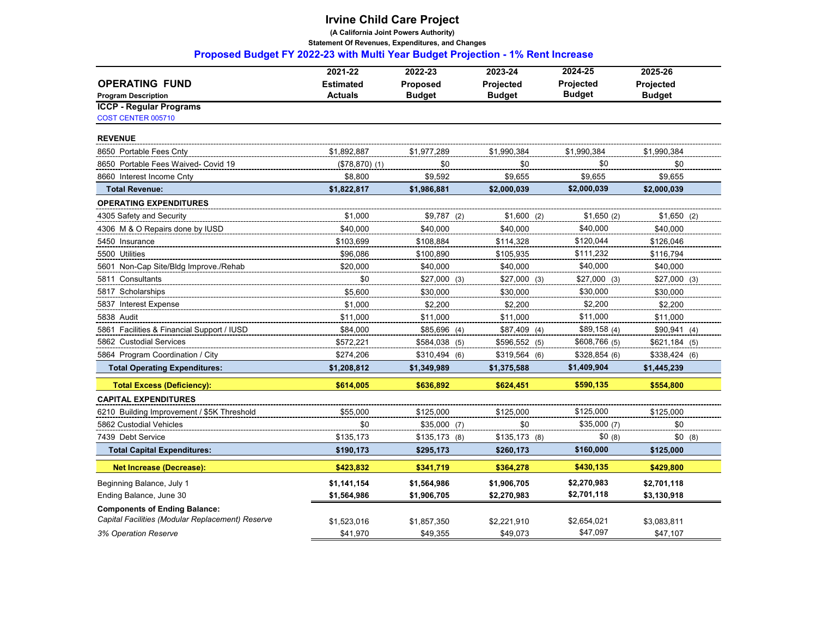**(A California Joint Powers Authority)**

 **Statement Of Revenues, Expenditures, and Changes** 

 **Proposed Budget FY 2022-23 with Multi Year Budget Projection - 1% Rent Increase**

|                                                  | 2021-22          | 2022-23        | 2023-24          | 2024-25       | 2025-26        |
|--------------------------------------------------|------------------|----------------|------------------|---------------|----------------|
| <b>OPERATING FUND</b>                            | <b>Estimated</b> | Proposed       | <b>Projected</b> | Projected     | Projected      |
| <b>Program Description</b>                       | <b>Actuals</b>   | <b>Budget</b>  | <b>Budget</b>    | <b>Budget</b> | <b>Budget</b>  |
| <b>ICCP - Regular Programs</b>                   |                  |                |                  |               |                |
| COST CENTER 005710                               |                  |                |                  |               |                |
| <b>REVENUE</b>                                   |                  |                |                  |               |                |
| 8650 Portable Fees Cntv                          | \$1,892,887      | \$1,977,289    | \$1,990,384      | \$1,990,384   | \$1,990,384    |
| 8650 Portable Fees Waived- Covid 19              | $($78,870)$ (1)  | \$0            | \$0              | \$0           | \$0            |
| 8660 Interest Income Cnty                        | \$8,800          | \$9,592        | \$9,655          | \$9,655       | \$9,655        |
| <b>Total Revenue:</b>                            | \$1,822,817      | \$1,986,881    | \$2,000,039      | \$2,000,039   | \$2,000,039    |
| <b>OPERATING EXPENDITURES</b>                    |                  |                |                  |               |                |
| 4305 Safety and Security                         | \$1,000          | $$9,787$ (2)   | $$1,600$ (2)     | \$1,650(2)    | $$1,650$ (2)   |
| 4306 M & O Repairs done by IUSD                  | \$40,000         | \$40,000       | \$40,000         | \$40.000      | \$40,000       |
| 5450 Insurance                                   | \$103,699        | \$108.884      | \$114,328        | \$120,044     | \$126,046      |
| 5500 Utilities                                   | \$96,086         | \$100,890      | \$105,935        | \$111,232     | \$116,794      |
| 5601 Non-Cap Site/Bldg Improve./Rehab            | \$20,000         | \$40,000       | \$40,000         | \$40,000      | \$40,000       |
| 5811 Consultants                                 | \$0              | $$27,000$ (3)  | $$27,000$ (3)    | $$27,000$ (3) | $$27,000$ (3)  |
| 5817 Scholarships                                | \$5,600          | \$30,000       | \$30,000         | \$30,000      | \$30,000       |
| 5837 Interest Expense                            | \$1,000          | \$2,200        | \$2.200          | \$2,200       | \$2,200        |
| 5838 Audit                                       | \$11,000         | \$11,000       | \$11,000         | \$11,000      | \$11,000       |
| 5861 Facilities & Financial Support / IUSD       | \$84,000         | $$85,696$ (4)  | \$87,409 (4)     | \$89,158(4)   | \$90,941(4)    |
| 5862 Custodial Services                          | \$572,221        | \$584,038 (5)  | \$596,552 (5)    | \$608,766 (5) | $$621,184$ (5) |
| 5864 Program Coordination / City                 | \$274,206        | $$310,494$ (6) | \$319,564 (6)    | \$328,854(6)  | $$338,424$ (6) |
| <b>Total Operating Expenditures:</b>             | \$1,208,812      | \$1,349,989    | \$1,375,588      | \$1,409,904   | \$1,445,239    |
| <b>Total Excess (Deficiency):</b>                | \$614,005        | \$636,892      | \$624,451        | \$590,135     | \$554,800      |
| <b>CAPITAL EXPENDITURES</b>                      |                  |                |                  |               |                |
| 6210 Building Improvement / \$5K Threshold       | \$55.000         | \$125,000      | \$125,000        | \$125,000     | \$125,000      |
| 5862 Custodial Vehicles                          | \$0              | $$35,000$ (7)  | \$0              | \$35,000(7)   | \$0            |
| 7439 Debt Service                                | \$135,173        | $$135,173$ (8) | $$135,173$ (8)   | \$0(8)        | \$0(8)         |
| <b>Total Capital Expenditures:</b>               | \$190,173        | \$295,173      | \$260,173        | \$160,000     | \$125,000      |
| <b>Net Increase (Decrease):</b>                  | \$423,832        | \$341,719      | \$364,278        | \$430,135     | \$429,800      |
| Beginning Balance, July 1                        | \$1,141,154      | \$1,564,986    | \$1,906,705      | \$2,270,983   | \$2,701,118    |
| Ending Balance, June 30                          | \$1,564,986      | \$1,906,705    | \$2,270,983      | \$2,701,118   | \$3,130,918    |
| <b>Components of Ending Balance:</b>             |                  |                |                  |               |                |
| Capital Facilities (Modular Replacement) Reserve | \$1,523,016      | \$1,857,350    | \$2,221,910      | \$2,654,021   | \$3,083,811    |
| 3% Operation Reserve                             | \$41.970         | \$49.355       | \$49.073         | \$47,097      | \$47.107       |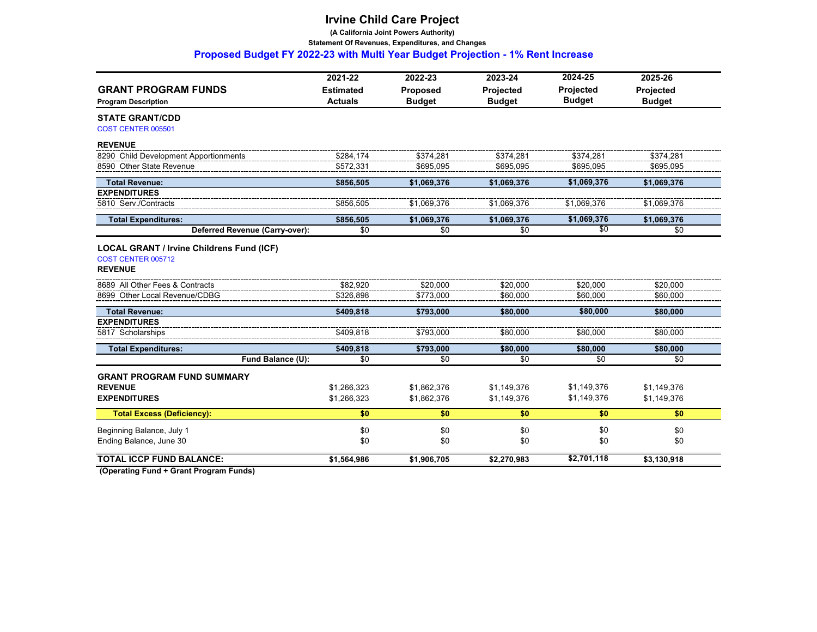**(A California Joint Powers Authority)**

 **Statement Of Revenues, Expenditures, and Changes** 

 **Proposed Budget FY 2022-23 with Multi Year Budget Projection - 1% Rent Increase**

| <b>GRANT PROGRAM FUNDS</b>                       | 2021-22<br><b>Estimated</b> | 2022-23<br>Proposed | 2023-24<br>Projected | 2024-25<br><b>Projected</b> | 2025-26<br>Projected |
|--------------------------------------------------|-----------------------------|---------------------|----------------------|-----------------------------|----------------------|
| <b>Program Description</b>                       | <b>Actuals</b>              | <b>Budget</b>       | <b>Budget</b>        | <b>Budget</b>               | <b>Budget</b>        |
| <b>STATE GRANT/CDD</b><br>COST CENTER 005501     |                             |                     |                      |                             |                      |
| <b>REVENUE</b>                                   |                             |                     |                      |                             |                      |
| 8290 Child Development Apportionments            | \$284.174                   | \$374.281           | \$374.281            | \$374.281                   | \$374.281            |
| 8590 Other State Revenue                         | \$572.331                   | \$695.095           | \$695.095            | \$695.095                   | \$695.095            |
| <b>Total Revenue:</b>                            | \$856,505                   | \$1,069,376         | \$1,069,376          | \$1,069,376                 | \$1,069,376          |
| <b>EXPENDITURES</b>                              |                             |                     |                      |                             |                      |
| 5810 Serv./Contracts                             | \$856,505                   | \$1,069,376         | \$1,069,376          | \$1,069,376                 | \$1,069,376          |
| <b>Total Expenditures:</b>                       | \$856,505                   | \$1,069,376         | \$1,069,376          | \$1,069,376                 | \$1,069,376          |
| Deferred Revenue (Carry-over):                   | \$0                         | \$0                 | \$0                  | \$0                         | \$0                  |
| <b>LOCAL GRANT / Irvine Childrens Fund (ICF)</b> |                             |                     |                      |                             |                      |
| COST CENTER 005712                               |                             |                     |                      |                             |                      |
| <b>REVENUE</b>                                   |                             |                     |                      |                             |                      |
| 8689 All Other Fees & Contracts                  | \$82.920                    | \$20.000            | \$20.000             | \$20.000                    | \$20,000             |
| 8699 Other Local Revenue/CDBG                    | \$326,898                   | \$773.000           | \$60.000             | \$60,000                    | \$60,000             |
| <b>Total Revenue:</b>                            | \$409,818                   | \$793,000           | \$80,000             | \$80,000                    | \$80,000             |
| <b>EXPENDITURES</b>                              |                             |                     |                      |                             |                      |
| 5817 Scholarships                                | \$409,818                   | \$793,000           | \$80,000             | \$80,000                    | \$80,000             |
| <b>Total Expenditures:</b>                       | \$409,818                   | \$793.000           | \$80,000             | \$80,000                    | \$80,000             |
| Fund Balance (U):                                | \$0                         | \$0                 | \$0                  | \$0                         | \$0                  |
| <b>GRANT PROGRAM FUND SUMMARY</b>                |                             |                     |                      |                             |                      |
| <b>REVENUE</b>                                   | \$1,266,323                 | \$1,862,376         | \$1,149,376          | \$1,149,376                 | \$1,149,376          |
| <b>EXPENDITURES</b>                              | \$1,266,323                 | \$1,862,376         | \$1,149,376          | \$1,149,376                 | \$1,149,376          |
| <b>Total Excess (Deficiency):</b>                | \$0                         | \$0                 | \$0                  | \$0                         | \$0                  |
| Beginning Balance, July 1                        | \$0                         | \$0                 | \$0                  | \$0                         | \$0                  |
| Ending Balance, June 30                          | \$0                         | \$0                 | \$0                  | \$0                         | \$0                  |
| <b>TOTAL ICCP FUND BALANCE:</b>                  | \$1,564,986                 | \$1,906,705         | \$2,270,983          | \$2,701,118                 | \$3,130,918          |
|                                                  |                             |                     |                      |                             |                      |

 **(Operating Fund + Grant Program Funds)**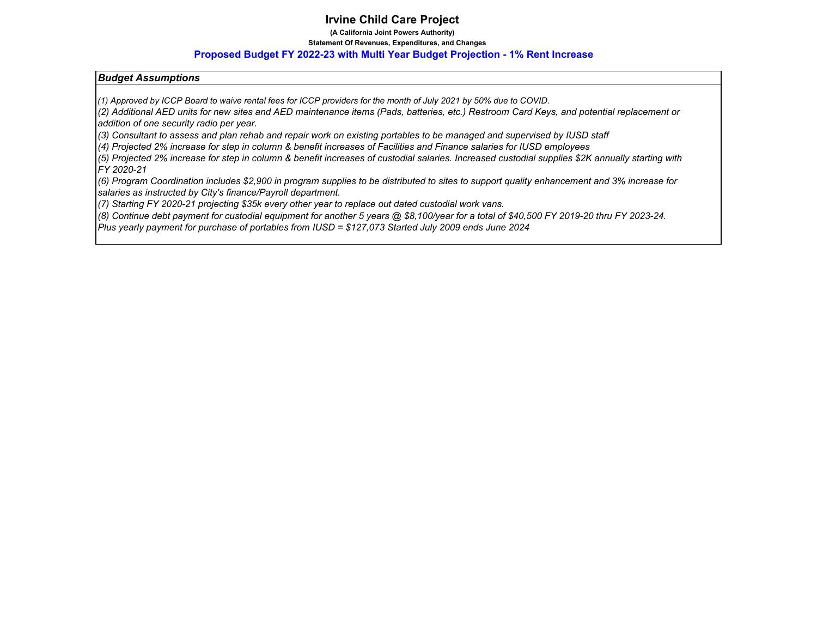**(A California Joint Powers Authority)**

#### **Statement Of Revenues, Expenditures, and Changes**

#### **Proposed Budget FY 2022-23 with Multi Year Budget Projection - 1% Rent Increase**

#### *Budget Assumptions*

*(1) Approved by ICCP Board to waive rental fees for ICCP providers for the month of July 2021 by 50% due to COVID.*

*(2) Additional AED units for new sites and AED maintenance items (Pads, batteries, etc.) Restroom Card Keys, and potential replacement or addition of one security radio per year.* 

*(3) Consultant to assess and plan rehab and repair work on existing portables to be managed and supervised by IUSD staff*

*(4) Projected 2% increase for step in column & benefit increases of Facilities and Finance salaries for IUSD employees*

*(5) Projected 2% increase for step in column & benefit increases of custodial salaries. Increased custodial supplies \$2K annually starting with FY 2020-21*

*(6) Program Coordination includes \$2,900 in program supplies to be distributed to sites to support quality enhancement and 3% increase for salaries as instructed by City's finance/Payroll department.*

*(7) Starting FY 2020-21 projecting \$35k every other year to replace out dated custodial work vans.*

*(8) Continue debt payment for custodial equipment for another 5 years @ \$8,100/year for a total of \$40,500 FY 2019-20 thru FY 2023-24.* 

*Plus yearly payment for purchase of portables from IUSD = \$127,073 Started July 2009 ends June 2024*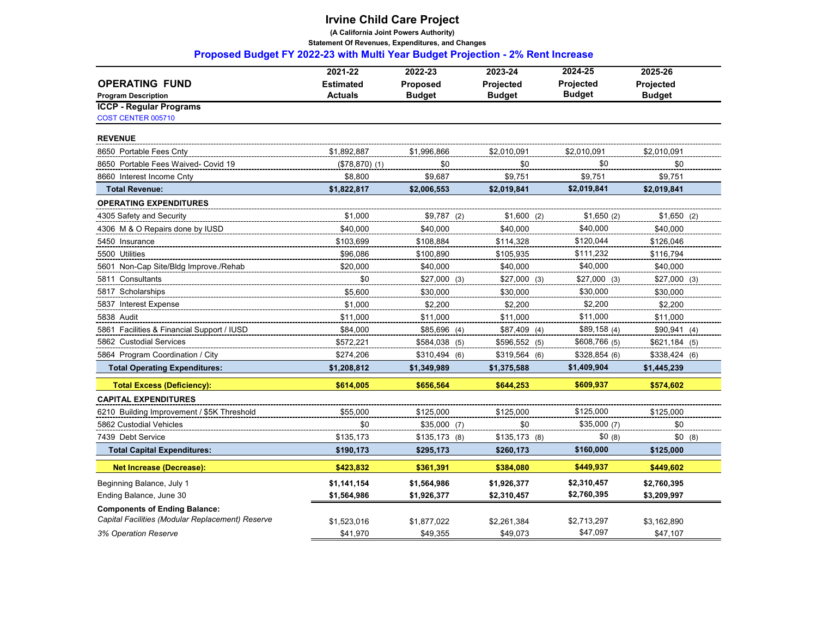**(A California Joint Powers Authority)**

 **Statement Of Revenues, Expenditures, and Changes** 

 **Proposed Budget FY 2022-23 with Multi Year Budget Projection - 2% Rent Increase**

|                                                  | 2021-22          | 2022-23        | 2023-24          | 2024-25          | 2025-26        |
|--------------------------------------------------|------------------|----------------|------------------|------------------|----------------|
| <b>OPERATING FUND</b>                            | <b>Estimated</b> | Proposed       | <b>Projected</b> | <b>Projected</b> | Projected      |
| <b>Program Description</b>                       | <b>Actuals</b>   | <b>Budget</b>  | <b>Budget</b>    | <b>Budget</b>    | <b>Budget</b>  |
| <b>ICCP - Regular Programs</b>                   |                  |                |                  |                  |                |
| COST CENTER 005710                               |                  |                |                  |                  |                |
| <b>REVENUE</b>                                   |                  |                |                  |                  |                |
| 8650 Portable Fees Cnty                          | \$1,892,887      | \$1,996,866    | \$2,010,091      | \$2,010,091      | \$2,010,091    |
| 8650 Portable Fees Waived- Covid 19              | $($78,870)$ (1)  | \$0            | \$0              | \$0              | \$0            |
| 8660 Interest Income Cnty                        | \$8,800          | \$9,687        | \$9,751          | \$9,751          | \$9,751        |
| <b>Total Revenue:</b>                            | \$1,822,817      | \$2,006,553    | \$2,019,841      | \$2,019,841      | \$2,019,841    |
| <b>OPERATING EXPENDITURES</b>                    |                  |                |                  |                  |                |
| 4305 Safety and Security                         | \$1,000          | $$9,787$ (2)   | $$1,600$ (2)     | \$1,650(2)       | $$1,650$ (2)   |
| 4306 M & O Repairs done by IUSD                  | \$40,000         | \$40,000       | \$40,000         | \$40.000         | \$40,000       |
| 5450 Insurance                                   | \$103,699        | \$108,884      | \$114,328        | \$120,044        | \$126,046      |
| 5500 Utilities                                   | \$96,086         | \$100,890      | \$105,935        | \$111,232        | \$116,794      |
| 5601 Non-Cap Site/Bldg Improve./Rehab            | \$20,000         | \$40,000       | \$40,000         | \$40,000         | \$40,000       |
| 5811 Consultants                                 | \$0              | $$27,000$ (3)  | $$27,000$ (3)    | $$27,000$ (3)    | $$27,000$ (3)  |
| 5817 Scholarships                                | \$5.600          | \$30,000       | \$30.000         | \$30,000         | \$30,000       |
| 5837 Interest Expense                            | \$1,000          | \$2,200        | \$2,200          | \$2,200          | \$2,200        |
| 5838 Audit                                       | \$11,000         | \$11,000       | \$11,000         | \$11,000         | \$11,000       |
| 5861 Facilities & Financial Support / IUSD       | \$84,000         | $$85,696$ (4)  | $$87,409$ (4)    | \$89,158(4)      | \$90,941(4)    |
| 5862 Custodial Services                          | \$572.221        | \$584,038 (5)  | \$596,552 (5)    | \$608,766 (5)    | $$621,184$ (5) |
| 5864 Program Coordination / City                 | \$274,206        | $$310,494$ (6) | $$319,564$ (6)   | \$328,854(6)     | $$338,424$ (6) |
| <b>Total Operating Expenditures:</b>             | \$1,208,812      | \$1,349,989    | \$1,375,588      | \$1,409,904      | \$1,445,239    |
| <b>Total Excess (Deficiency):</b>                | \$614,005        | \$656,564      | \$644,253        | \$609,937        | \$574,602      |
| <b>CAPITAL EXPENDITURES</b>                      |                  |                |                  |                  |                |
| 6210 Building Improvement / \$5K Threshold       | \$55,000         | \$125,000      | \$125,000        | \$125,000        | \$125,000      |
| 5862 Custodial Vehicles                          | \$0              | $$35,000$ (7)  | \$0              | \$35,000(7)      | \$0            |
| 7439 Debt Service                                | \$135,173        | $$135,173$ (8) | $$135,173$ (8)   | \$0(8)           | \$0(8)         |
| <b>Total Capital Expenditures:</b>               | \$190,173        | \$295,173      | \$260,173        | \$160,000        | \$125,000      |
| <b>Net Increase (Decrease):</b>                  | \$423,832        | \$361,391      | \$384,080        | \$449,937        | \$449,602      |
| Beginning Balance, July 1                        | \$1,141,154      | \$1,564,986    | \$1,926,377      | \$2,310,457      | \$2,760,395    |
| Ending Balance, June 30                          | \$1,564,986      | \$1,926,377    | \$2,310,457      | \$2,760,395      | \$3,209,997    |
| <b>Components of Ending Balance:</b>             |                  |                |                  |                  |                |
| Capital Facilities (Modular Replacement) Reserve | \$1,523,016      | \$1,877,022    | \$2,261,384      | \$2,713,297      | \$3,162,890    |
| 3% Operation Reserve                             | \$41,970         | \$49,355       | \$49.073         | \$47,097         | \$47,107       |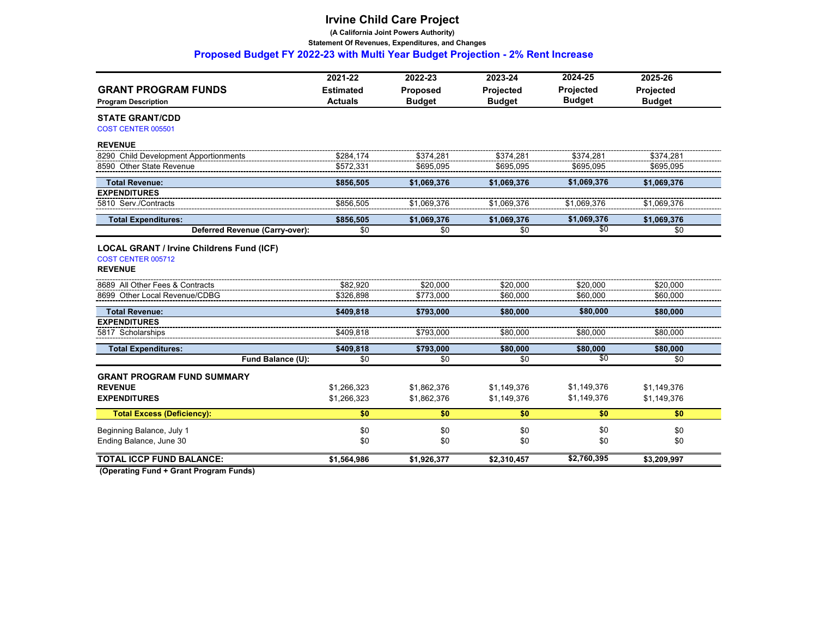**(A California Joint Powers Authority)**

 **Statement Of Revenues, Expenditures, and Changes** 

 **Proposed Budget FY 2022-23 with Multi Year Budget Projection - 2% Rent Increase**

|                                                  | 2021-22          | 2022-23         | 2023-24          | 2024-25          | 2025-26       |
|--------------------------------------------------|------------------|-----------------|------------------|------------------|---------------|
| <b>GRANT PROGRAM FUNDS</b>                       | <b>Estimated</b> | <b>Proposed</b> | <b>Projected</b> | <b>Projected</b> | Projected     |
| <b>Program Description</b>                       | <b>Actuals</b>   | <b>Budget</b>   | <b>Budget</b>    | <b>Budget</b>    | <b>Budget</b> |
| <b>STATE GRANT/CDD</b><br>COST CENTER 005501     |                  |                 |                  |                  |               |
| <b>REVENUE</b>                                   |                  |                 |                  |                  |               |
| 8290 Child Development Apportionments            | \$284.174        | \$374.281       | \$374.281        | \$374.281        | \$374.281     |
| 8590 Other State Revenue                         | \$572,331        | \$695,095       | \$695,095        | \$695,095        | \$695,095     |
| <b>Total Revenue:</b>                            | \$856,505        | \$1,069,376     | \$1,069,376      | \$1,069,376      | \$1,069,376   |
| <b>EXPENDITURES</b>                              |                  |                 |                  |                  |               |
| 5810 Serv./Contracts                             | \$856,505        | \$1,069,376     | \$1,069,376      | \$1.069.376      | \$1,069,376   |
| <b>Total Expenditures:</b>                       | \$856,505        | \$1,069,376     | \$1,069,376      | \$1,069,376      | \$1,069,376   |
| Deferred Revenue (Carry-over):                   | \$0              | \$0             | \$0              | \$0              | \$0           |
| <b>LOCAL GRANT / Irvine Childrens Fund (ICF)</b> |                  |                 |                  |                  |               |
| COST CENTER 005712                               |                  |                 |                  |                  |               |
| <b>REVENUE</b>                                   |                  |                 |                  |                  |               |
| 8689 All Other Fees & Contracts                  | \$82.920         | \$20.000        | \$20.000         | \$20.000         | \$20,000      |
| 8699 Other Local Revenue/CDBG                    | \$326.898        | \$773.000       | \$60.000         | \$60,000         | \$60,000      |
| <b>Total Revenue:</b>                            | \$409,818        | \$793,000       | \$80,000         | \$80,000         | \$80,000      |
| <b>EXPENDITURES</b>                              |                  |                 |                  |                  |               |
| 5817 Scholarships                                | \$409,818        | \$793,000       | \$80,000         | \$80,000         | \$80,000      |
| <b>Total Expenditures:</b>                       | \$409,818        | \$793,000       | \$80,000         | \$80,000         | \$80,000      |
| Fund Balance (U):                                | \$0              | \$0             | \$0              | $\overline{50}$  | \$0           |
| <b>GRANT PROGRAM FUND SUMMARY</b>                |                  |                 |                  |                  |               |
| <b>REVENUE</b>                                   | \$1,266,323      | \$1,862,376     | \$1.149.376      | \$1,149,376      | \$1,149,376   |
| <b>EXPENDITURES</b>                              | \$1,266,323      | \$1,862,376     | \$1,149,376      | \$1,149,376      | \$1,149,376   |
| <b>Total Excess (Deficiency):</b>                | \$0              | \$0             | \$0              | \$0              | \$0           |
| Beginning Balance, July 1                        | \$0              | \$0             | \$0              | \$0              | \$0           |
| Ending Balance, June 30                          | \$0              | \$0             | \$0              | \$0              | \$0           |
| <b>TOTAL ICCP FUND BALANCE:</b>                  | \$1,564,986      | \$1,926,377     | \$2,310,457      | \$2,760,395      | \$3,209,997   |
|                                                  |                  |                 |                  |                  |               |

 **(Operating Fund + Grant Program Funds)**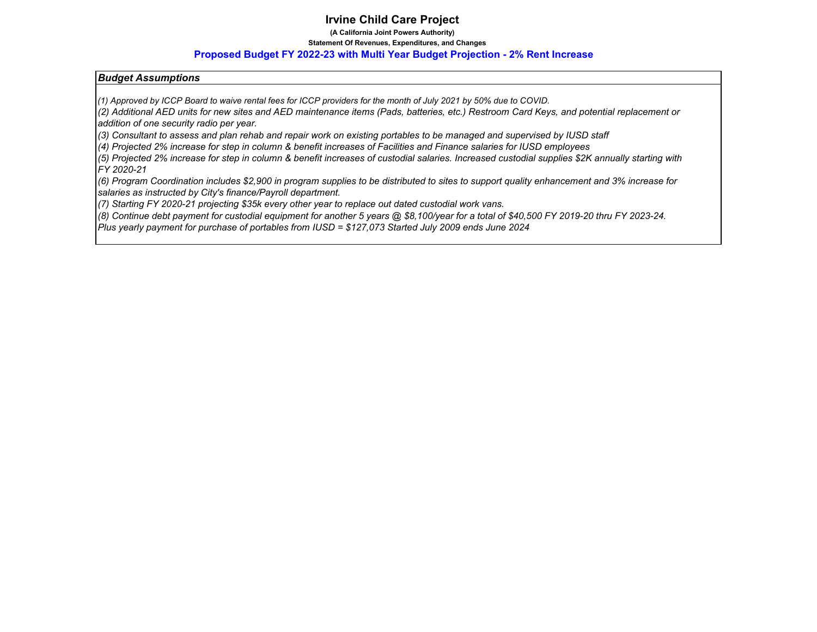**(A California Joint Powers Authority)**

#### **Statement Of Revenues, Expenditures, and Changes**

#### **Proposed Budget FY 2022-23 with Multi Year Budget Projection - 2% Rent Increase**

#### *Budget Assumptions*

*(1) Approved by ICCP Board to waive rental fees for ICCP providers for the month of July 2021 by 50% due to COVID.*

*(2) Additional AED units for new sites and AED maintenance items (Pads, batteries, etc.) Restroom Card Keys, and potential replacement or addition of one security radio per year.* 

*(3) Consultant to assess and plan rehab and repair work on existing portables to be managed and supervised by IUSD staff*

*(4) Projected 2% increase for step in column & benefit increases of Facilities and Finance salaries for IUSD employees*

*(5) Projected 2% increase for step in column & benefit increases of custodial salaries. Increased custodial supplies \$2K annually starting with FY 2020-21*

*(6) Program Coordination includes \$2,900 in program supplies to be distributed to sites to support quality enhancement and 3% increase for salaries as instructed by City's finance/Payroll department.*

*(7) Starting FY 2020-21 projecting \$35k every other year to replace out dated custodial work vans.*

*(8) Continue debt payment for custodial equipment for another 5 years @ \$8,100/year for a total of \$40,500 FY 2019-20 thru FY 2023-24.* 

*Plus yearly payment for purchase of portables from IUSD = \$127,073 Started July 2009 ends June 2024*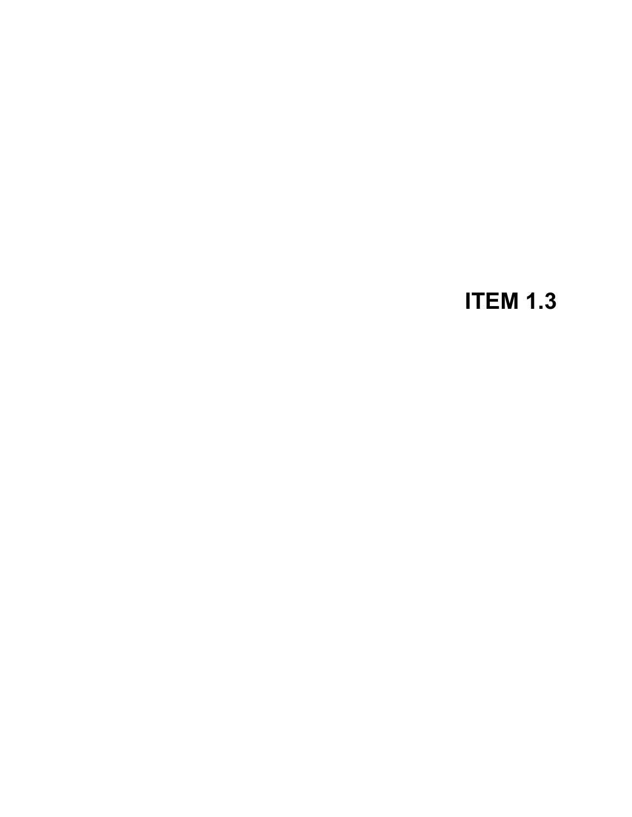## **ITEM 1.3**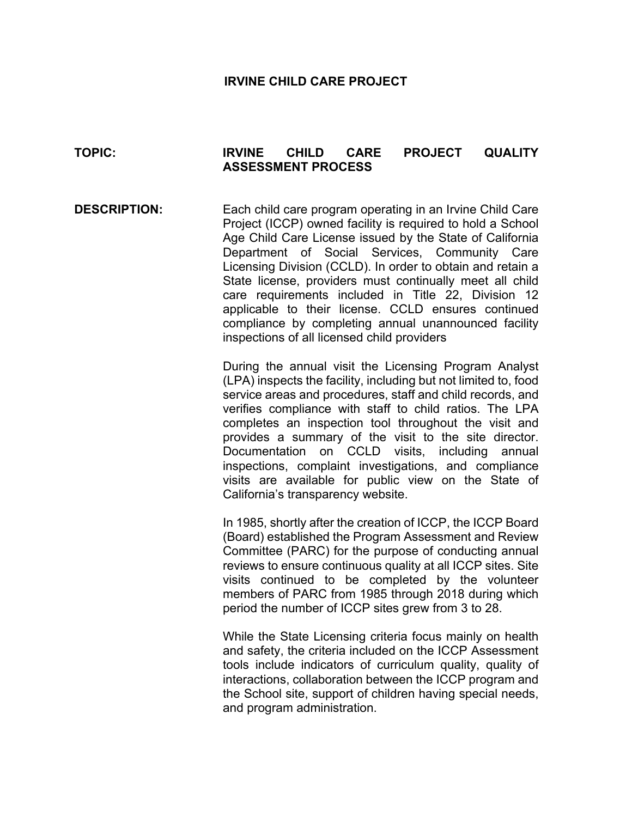#### **IRVINE CHILD CARE PROJECT**

#### **TOPIC: IRVINE CHILD CARE PROJECT QUALITY ASSESSMENT PROCESS**

**DESCRIPTION:** Each child care program operating in an Irvine Child Care Project (ICCP) owned facility is required to hold a School Age Child Care License issued by the State of California Department of Social Services, Community Care Licensing Division (CCLD). In order to obtain and retain a State license, providers must continually meet all child care requirements included in Title 22, Division 12 applicable to their license. CCLD ensures continued compliance by completing annual unannounced facility inspections of all licensed child providers

> During the annual visit the Licensing Program Analyst (LPA) inspects the facility, including but not limited to, food service areas and procedures, staff and child records, and verifies compliance with staff to child ratios. The LPA completes an inspection tool throughout the visit and provides a summary of the visit to the site director. Documentation on CCLD visits, including annual inspections, complaint investigations, and compliance visits are available for public view on the State of California's transparency website.

> In 1985, shortly after the creation of ICCP, the ICCP Board (Board) established the Program Assessment and Review Committee (PARC) for the purpose of conducting annual reviews to ensure continuous quality at all ICCP sites. Site visits continued to be completed by the volunteer members of PARC from 1985 through 2018 during which period the number of ICCP sites grew from 3 to 28.

> While the State Licensing criteria focus mainly on health and safety, the criteria included on the ICCP Assessment tools include indicators of curriculum quality, quality of interactions, collaboration between the ICCP program and the School site, support of children having special needs, and program administration.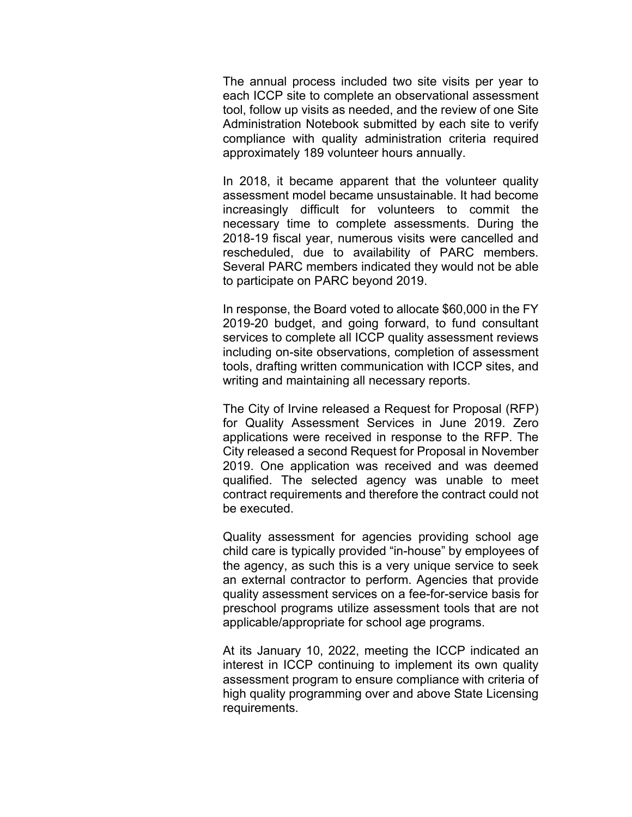The annual process included two site visits per year to each ICCP site to complete an observational assessment tool, follow up visits as needed, and the review of one Site Administration Notebook submitted by each site to verify compliance with quality administration criteria required approximately 189 volunteer hours annually.

In 2018, it became apparent that the volunteer quality assessment model became unsustainable. It had become increasingly difficult for volunteers to commit the necessary time to complete assessments. During the 2018-19 fiscal year, numerous visits were cancelled and rescheduled, due to availability of PARC members. Several PARC members indicated they would not be able to participate on PARC beyond 2019.

In response, the Board voted to allocate \$60,000 in the FY 2019-20 budget, and going forward, to fund consultant services to complete all ICCP quality assessment reviews including on-site observations, completion of assessment tools, drafting written communication with ICCP sites, and writing and maintaining all necessary reports.

The City of Irvine released a Request for Proposal (RFP) for Quality Assessment Services in June 2019. Zero applications were received in response to the RFP. The City released a second Request for Proposal in November 2019. One application was received and was deemed qualified. The selected agency was unable to meet contract requirements and therefore the contract could not be executed.

Quality assessment for agencies providing school age child care is typically provided "in-house" by employees of the agency, as such this is a very unique service to seek an external contractor to perform. Agencies that provide quality assessment services on a fee-for-service basis for preschool programs utilize assessment tools that are not applicable/appropriate for school age programs.

At its January 10, 2022, meeting the ICCP indicated an interest in ICCP continuing to implement its own quality assessment program to ensure compliance with criteria of high quality programming over and above State Licensing requirements.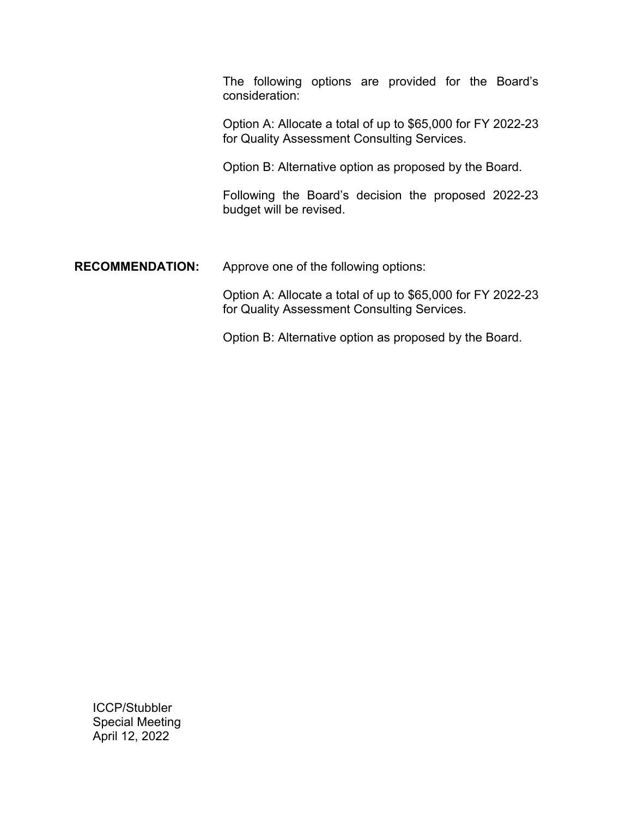The following options are provided for the Board's consideration:

Option A: Allocate a total of up to \$65,000 for FY 2022-23 for Quality Assessment Consulting Services.

Option B: Alternative option as proposed by the Board.

Following the Board's decision the proposed 2022-23 budget will be revised.

**RECOMMENDATION:** Approve one of the following options:

Option A: Allocate a total of up to \$65,000 for FY 2022-23 for Quality Assessment Consulting Services.

Option B: Alternative option as proposed by the Board.

ICCP/Stubbler Special Meeting April 12, 2022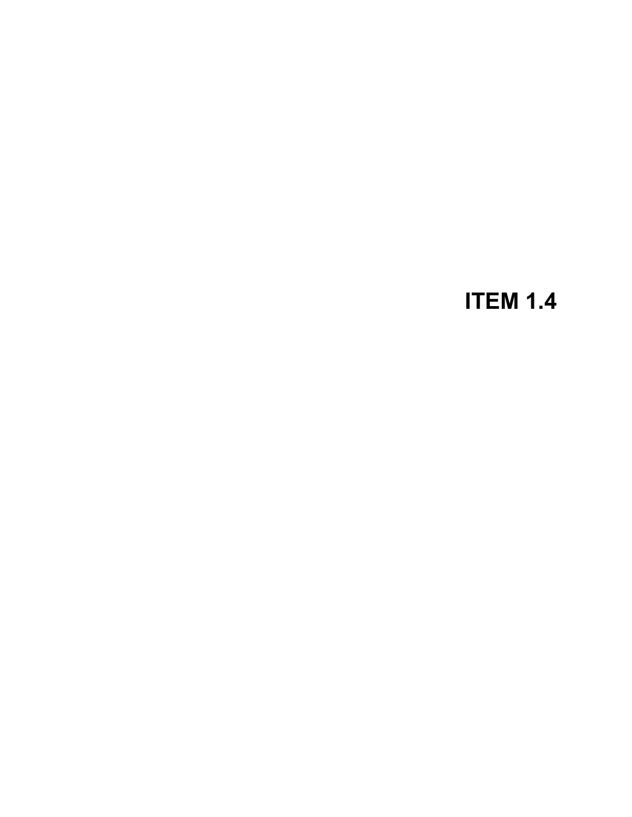## **ITEM 1.4**